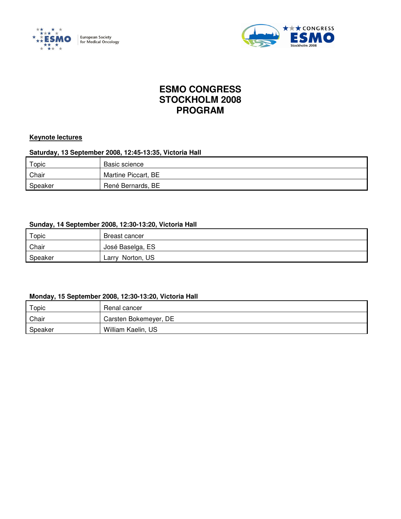



# **ESMO CONGRESS STOCKHOLM 2008 PROGRAM**

#### **Keynote lectures**

#### **Saturday, 13 September 2008, 12:45-13:35, Victoria Hall**

| Topic   | Basic science       |
|---------|---------------------|
| Chair   | Martine Piccart, BE |
| Speaker | René Bernards, BE   |

### **Sunday, 14 September 2008, 12:30-13:20, Victoria Hall**

| Topic   | Breast cancer       |
|---------|---------------------|
| Chair   | José Baselga, ES    |
| Speaker | Norton, US<br>∟arry |

#### **Monday, 15 September 2008, 12:30-13:20, Victoria Hall**

| Topic   | Renal cancer          |
|---------|-----------------------|
| Chair   | Carsten Bokemeyer, DE |
| Speaker | William Kaelin, US    |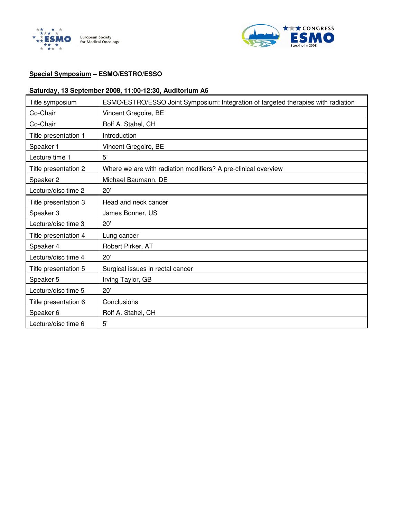



# **Special Symposium – ESMO/ESTRO/ESSO**

#### **Saturday, 13 September 2008, 11:00-12:30, Auditorium A6**

| Title symposium      | ESMO/ESTRO/ESSO Joint Symposium: Integration of targeted therapies with radiation |
|----------------------|-----------------------------------------------------------------------------------|
| Co-Chair             | Vincent Gregoire, BE                                                              |
| Co-Chair             | Rolf A. Stahel, CH                                                                |
| Title presentation 1 | Introduction                                                                      |
| Speaker 1            | Vincent Gregoire, BE                                                              |
| Lecture time 1       | 5'                                                                                |
| Title presentation 2 | Where we are with radiation modifiers? A pre-clinical overview                    |
| Speaker 2            | Michael Baumann, DE                                                               |
| Lecture/disc time 2  | 20'                                                                               |
| Title presentation 3 | Head and neck cancer                                                              |
| Speaker 3            | James Bonner, US                                                                  |
| Lecture/disc time 3  | 20'                                                                               |
| Title presentation 4 | Lung cancer                                                                       |
| Speaker 4            | Robert Pirker, AT                                                                 |
| Lecture/disc time 4  | 20'                                                                               |
| Title presentation 5 | Surgical issues in rectal cancer                                                  |
| Speaker 5            | Irving Taylor, GB                                                                 |
| Lecture/disc time 5  | 20'                                                                               |
| Title presentation 6 | Conclusions                                                                       |
| Speaker 6            | Rolf A. Stahel, CH                                                                |
| Lecture/disc time 6  | 5'                                                                                |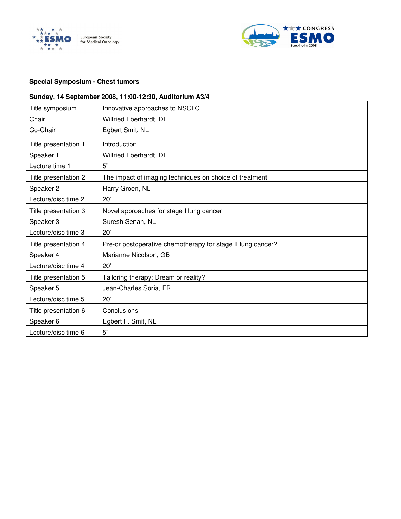



#### **Special Symposium - Chest tumors**

### **Sunday, 14 September 2008, 11:00-12:30, Auditorium A3/4**

| Title symposium      | Innovative approaches to NSCLC                              |
|----------------------|-------------------------------------------------------------|
| Chair                | Wilfried Eberhardt, DE                                      |
| Co-Chair             | Egbert Smit, NL                                             |
| Title presentation 1 | Introduction                                                |
| Speaker 1            | Wilfried Eberhardt, DE                                      |
| Lecture time 1       | 5'                                                          |
| Title presentation 2 | The impact of imaging techniques on choice of treatment     |
| Speaker 2            | Harry Groen, NL                                             |
| Lecture/disc time 2  | 20'                                                         |
| Title presentation 3 | Novel approaches for stage I lung cancer                    |
| Speaker 3            | Suresh Senan, NL                                            |
| Lecture/disc time 3  | 20'                                                         |
| Title presentation 4 | Pre-or postoperative chemotherapy for stage II lung cancer? |
| Speaker 4            | Marianne Nicolson, GB                                       |
| Lecture/disc time 4  | 20'                                                         |
| Title presentation 5 | Tailoring therapy: Dream or reality?                        |
| Speaker 5            | Jean-Charles Soria, FR                                      |
| Lecture/disc time 5  | 20'                                                         |
| Title presentation 6 | Conclusions                                                 |
| Speaker 6            | Egbert F. Smit, NL                                          |
| Lecture/disc time 6  | 5'                                                          |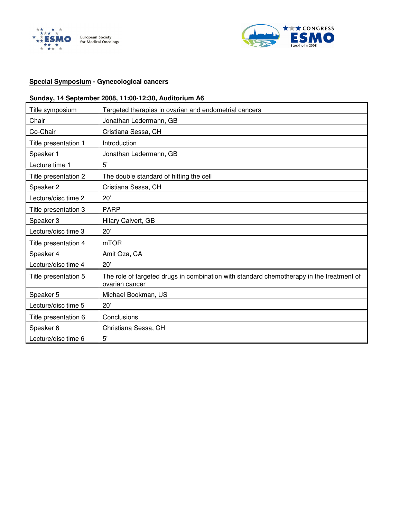



### **Special Symposium - Gynecological cancers**

### **Sunday, 14 September 2008, 11:00-12:30, Auditorium A6**

| Title symposium      | Targeted therapies in ovarian and endometrial cancers                                                      |
|----------------------|------------------------------------------------------------------------------------------------------------|
| Chair                | Jonathan Ledermann, GB                                                                                     |
| Co-Chair             | Cristiana Sessa, CH                                                                                        |
| Title presentation 1 | Introduction                                                                                               |
| Speaker 1            | Jonathan Ledermann, GB                                                                                     |
| Lecture time 1       | 5'                                                                                                         |
| Title presentation 2 | The double standard of hitting the cell                                                                    |
| Speaker 2            | Cristiana Sessa, CH                                                                                        |
| Lecture/disc time 2  | 20'                                                                                                        |
| Title presentation 3 | <b>PARP</b>                                                                                                |
| Speaker 3            | Hilary Calvert, GB                                                                                         |
| Lecture/disc time 3  | 20'                                                                                                        |
| Title presentation 4 | m <sub>T</sub> OR                                                                                          |
| Speaker 4            | Amit Oza, CA                                                                                               |
| Lecture/disc time 4  | 20'                                                                                                        |
| Title presentation 5 | The role of targeted drugs in combination with standard chemotherapy in the treatment of<br>ovarian cancer |
| Speaker 5            | Michael Bookman, US                                                                                        |
| Lecture/disc time 5  | 20'                                                                                                        |
| Title presentation 6 | Conclusions                                                                                                |
| Speaker 6            | Christiana Sessa, CH                                                                                       |
| Lecture/disc time 6  | 5'                                                                                                         |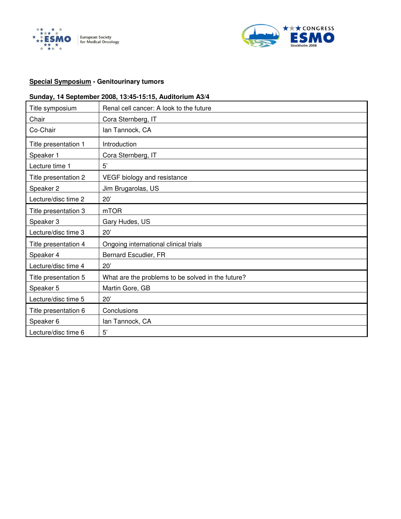



### **Special Symposium - Genitourinary tumors**

### **Sunday, 14 September 2008, 13:45-15:15, Auditorium A3/4**

| Title symposium      | Renal cell cancer: A look to the future           |
|----------------------|---------------------------------------------------|
| Chair                | Cora Sternberg, IT                                |
| Co-Chair             | lan Tannock, CA                                   |
| Title presentation 1 | Introduction                                      |
| Speaker 1            | Cora Sternberg, IT                                |
| Lecture time 1       | 5'                                                |
| Title presentation 2 | VEGF biology and resistance                       |
| Speaker 2            | Jim Brugarolas, US                                |
| Lecture/disc time 2  | 20'                                               |
| Title presentation 3 | m <sub>T</sub> OR                                 |
| Speaker 3            | Gary Hudes, US                                    |
| Lecture/disc time 3  | 20'                                               |
| Title presentation 4 | Ongoing international clinical trials             |
| Speaker 4            | Bernard Escudier, FR                              |
| Lecture/disc time 4  | 20'                                               |
| Title presentation 5 | What are the problems to be solved in the future? |
| Speaker 5            | Martin Gore, GB                                   |
| Lecture/disc time 5  | 20'                                               |
| Title presentation 6 | Conclusions                                       |
| Speaker 6            | lan Tannock, CA                                   |
| Lecture/disc time 6  | 5'                                                |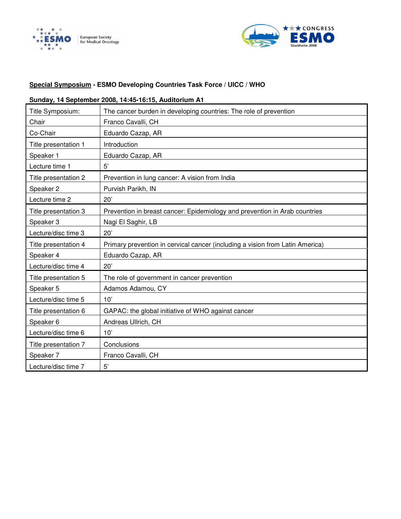



### **Special Symposium - ESMO Developing Countries Task Force / UICC / WHO**

#### **Sunday, 14 September 2008, 14:45-16:15, Auditorium A1**

| Title Symposium:     | The cancer burden in developing countries: The role of prevention             |
|----------------------|-------------------------------------------------------------------------------|
| Chair                | Franco Cavalli, CH                                                            |
| Co-Chair             | Eduardo Cazap, AR                                                             |
| Title presentation 1 | Introduction                                                                  |
| Speaker 1            | Eduardo Cazap, AR                                                             |
| Lecture time 1       | 5'                                                                            |
| Title presentation 2 | Prevention in lung cancer: A vision from India                                |
| Speaker 2            | Purvish Parikh, IN                                                            |
| Lecture time 2       | 20'                                                                           |
| Title presentation 3 | Prevention in breast cancer: Epidemiology and prevention in Arab countries    |
| Speaker 3            | Nagi El Saghir, LB                                                            |
| Lecture/disc time 3  | 20'                                                                           |
| Title presentation 4 | Primary prevention in cervical cancer (including a vision from Latin America) |
| Speaker 4            | Eduardo Cazap, AR                                                             |
| Lecture/disc time 4  | 20'                                                                           |
| Title presentation 5 | The role of government in cancer prevention                                   |
| Speaker 5            | Adamos Adamou, CY                                                             |
| Lecture/disc time 5  | 10'                                                                           |
| Title presentation 6 | GAPAC: the global initiative of WHO against cancer                            |
| Speaker 6            | Andreas Ullrich, CH                                                           |
| Lecture/disc time 6  | 10'                                                                           |
| Title presentation 7 | Conclusions                                                                   |
| Speaker 7            | Franco Cavalli, CH                                                            |
| Lecture/disc time 7  | 5'                                                                            |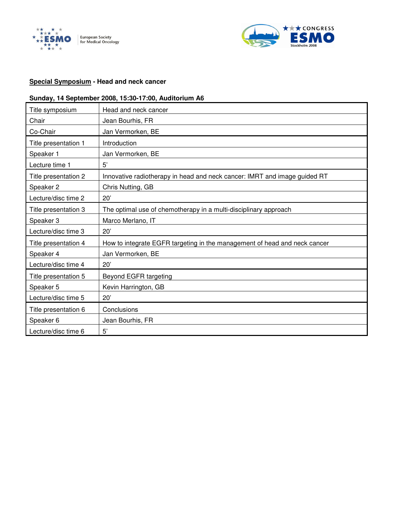



#### **Special Symposium - Head and neck cancer**

### **Sunday, 14 September 2008, 15:30-17:00, Auditorium A6**

| Title symposium      | Head and neck cancer                                                      |
|----------------------|---------------------------------------------------------------------------|
| Chair                | Jean Bourhis, FR                                                          |
| Co-Chair             | Jan Vermorken, BE                                                         |
| Title presentation 1 | Introduction                                                              |
| Speaker 1            | Jan Vermorken, BE                                                         |
| Lecture time 1       | 5'                                                                        |
| Title presentation 2 | Innovative radiotherapy in head and neck cancer: IMRT and image guided RT |
| Speaker 2            | Chris Nutting, GB                                                         |
| Lecture/disc time 2  | 20'                                                                       |
| Title presentation 3 | The optimal use of chemotherapy in a multi-disciplinary approach          |
| Speaker 3            | Marco Merlano, IT                                                         |
| Lecture/disc time 3  | 20'                                                                       |
| Title presentation 4 | How to integrate EGFR targeting in the management of head and neck cancer |
| Speaker 4            | Jan Vermorken, BE                                                         |
| Lecture/disc time 4  | 20'                                                                       |
| Title presentation 5 | Beyond EGFR targeting                                                     |
| Speaker 5            | Kevin Harrington, GB                                                      |
| Lecture/disc time 5  | 20'                                                                       |
| Title presentation 6 | Conclusions                                                               |
| Speaker 6            | Jean Bourhis, FR                                                          |
| Lecture/disc time 6  | 5'                                                                        |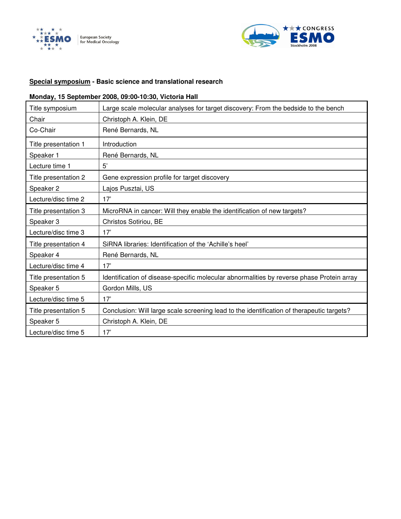



#### **Special symposium - Basic science and translational research**

### **Monday, 15 September 2008, 09:00-10:30, Victoria Hall**

| Title symposium      | Large scale molecular analyses for target discovery: From the bedside to the bench        |
|----------------------|-------------------------------------------------------------------------------------------|
| Chair                | Christoph A. Klein, DE                                                                    |
| Co-Chair             | René Bernards, NL                                                                         |
| Title presentation 1 | Introduction                                                                              |
| Speaker 1            | René Bernards, NL                                                                         |
| Lecture time 1       | 5'                                                                                        |
| Title presentation 2 | Gene expression profile for target discovery                                              |
| Speaker 2            | Lajos Pusztai, US                                                                         |
| Lecture/disc time 2  | 17'                                                                                       |
| Title presentation 3 | MicroRNA in cancer: Will they enable the identification of new targets?                   |
| Speaker 3            | Christos Sotiriou, BE                                                                     |
| Lecture/disc time 3  | 17'                                                                                       |
| Title presentation 4 | SiRNA libraries: Identification of the 'Achille's heel'                                   |
| Speaker 4            | René Bernards, NL                                                                         |
| Lecture/disc time 4  | 17'                                                                                       |
| Title presentation 5 | Identification of disease-specific molecular abnormalities by reverse phase Protein array |
| Speaker 5            | Gordon Mills, US                                                                          |
| Lecture/disc time 5  | 17'                                                                                       |
| Title presentation 5 | Conclusion: Will large scale screening lead to the identification of therapeutic targets? |
| Speaker 5            | Christoph A. Klein, DE                                                                    |
| Lecture/disc time 5  | 17'                                                                                       |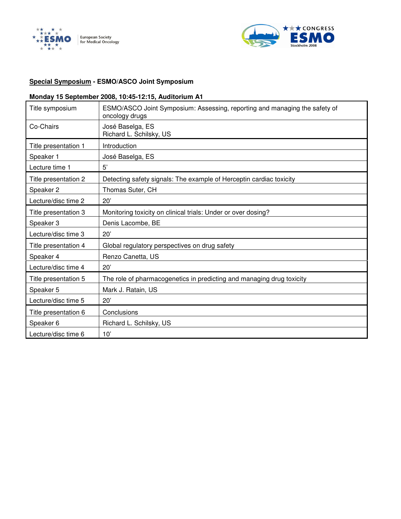



### **Special Symposium - ESMO/ASCO Joint Symposium**

### **Monday 15 September 2008, 10:45-12:15, Auditorium A1**

| Title symposium      | ESMO/ASCO Joint Symposium: Assessing, reporting and managing the safety of<br>oncology drugs |
|----------------------|----------------------------------------------------------------------------------------------|
| Co-Chairs            | José Baselga, ES<br>Richard L. Schilsky, US                                                  |
| Title presentation 1 | Introduction                                                                                 |
| Speaker 1            | José Baselga, ES                                                                             |
| Lecture time 1       | 5'                                                                                           |
| Title presentation 2 | Detecting safety signals: The example of Herceptin cardiac toxicity                          |
| Speaker 2            | Thomas Suter, CH                                                                             |
| Lecture/disc time 2  | 20'                                                                                          |
| Title presentation 3 | Monitoring toxicity on clinical trials: Under or over dosing?                                |
| Speaker 3            | Denis Lacombe, BE                                                                            |
| Lecture/disc time 3  | 20'                                                                                          |
| Title presentation 4 | Global regulatory perspectives on drug safety                                                |
| Speaker 4            | Renzo Canetta, US                                                                            |
| Lecture/disc time 4  | 20'                                                                                          |
| Title presentation 5 | The role of pharmacogenetics in predicting and managing drug toxicity                        |
| Speaker 5            | Mark J. Ratain, US                                                                           |
| Lecture/disc time 5  | 20'                                                                                          |
| Title presentation 6 | Conclusions                                                                                  |
| Speaker 6            | Richard L. Schilsky, US                                                                      |
| Lecture/disc time 6  | 10'                                                                                          |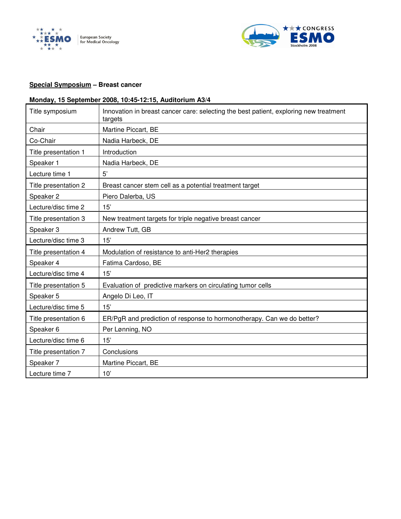



### **Special Symposium – Breast cancer**

# **Monday, 15 September 2008, 10:45-12:15, Auditorium A3/4**

| Title symposium      | Innovation in breast cancer care: selecting the best patient, exploring new treatment<br>targets |
|----------------------|--------------------------------------------------------------------------------------------------|
| Chair                | Martine Piccart, BE                                                                              |
| Co-Chair             | Nadia Harbeck, DE                                                                                |
| Title presentation 1 | Introduction                                                                                     |
| Speaker 1            | Nadia Harbeck, DE                                                                                |
| Lecture time 1       | 5'                                                                                               |
| Title presentation 2 | Breast cancer stem cell as a potential treatment target                                          |
| Speaker 2            | Piero Dalerba, US                                                                                |
| Lecture/disc time 2  | 15'                                                                                              |
| Title presentation 3 | New treatment targets for triple negative breast cancer                                          |
| Speaker 3            | Andrew Tutt, GB                                                                                  |
| Lecture/disc time 3  | 15'                                                                                              |
| Title presentation 4 | Modulation of resistance to anti-Her2 therapies                                                  |
| Speaker 4            | Fatima Cardoso, BE                                                                               |
| Lecture/disc time 4  | 15'                                                                                              |
| Title presentation 5 | Evaluation of predictive markers on circulating tumor cells                                      |
| Speaker 5            | Angelo Di Leo, IT                                                                                |
| Lecture/disc time 5  | 15'                                                                                              |
| Title presentation 6 | ER/PgR and prediction of response to hormonotherapy. Can we do better?                           |
| Speaker 6            | Per Lønning, NO                                                                                  |
| Lecture/disc time 6  | 15'                                                                                              |
| Title presentation 7 | Conclusions                                                                                      |
| Speaker 7            | Martine Piccart, BE                                                                              |
| Lecture time 7       | 10'                                                                                              |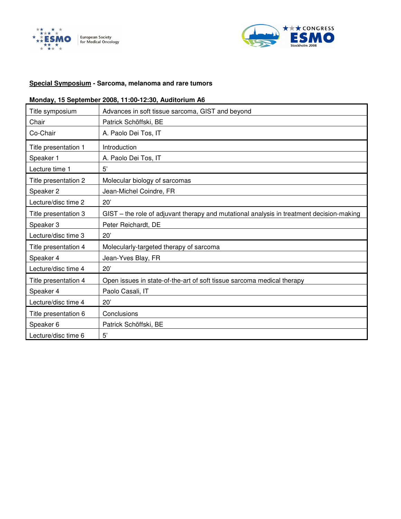



### **Special Symposium - Sarcoma, melanoma and rare tumors**

### **Monday, 15 September 2008, 11:00-12:30, Auditorium A6**

| Title symposium      | Advances in soft tissue sarcoma, GIST and beyond                                         |  |
|----------------------|------------------------------------------------------------------------------------------|--|
| Chair                | Patrick Schöffski, BE                                                                    |  |
| Co-Chair             | A. Paolo Dei Tos, IT                                                                     |  |
| Title presentation 1 | Introduction                                                                             |  |
| Speaker 1            | A. Paolo Dei Tos, IT                                                                     |  |
| Lecture time 1       | 5'                                                                                       |  |
| Title presentation 2 | Molecular biology of sarcomas                                                            |  |
| Speaker 2            | Jean-Michel Coindre, FR                                                                  |  |
| Lecture/disc time 2  | 20'                                                                                      |  |
| Title presentation 3 | GIST – the role of adjuvant therapy and mutational analysis in treatment decision-making |  |
| Speaker 3            | Peter Reichardt, DE                                                                      |  |
| Lecture/disc time 3  | 20'                                                                                      |  |
| Title presentation 4 | Molecularly-targeted therapy of sarcoma                                                  |  |
| Speaker 4            | Jean-Yves Blay, FR                                                                       |  |
| Lecture/disc time 4  | 20'                                                                                      |  |
| Title presentation 4 | Open issues in state-of-the-art of soft tissue sarcoma medical therapy                   |  |
| Speaker 4            | Paolo Casali, IT                                                                         |  |
| Lecture/disc time 4  | 20'                                                                                      |  |
| Title presentation 6 | Conclusions                                                                              |  |
| Speaker 6            | Patrick Schöffski, BE                                                                    |  |
| Lecture/disc time 6  | 5'                                                                                       |  |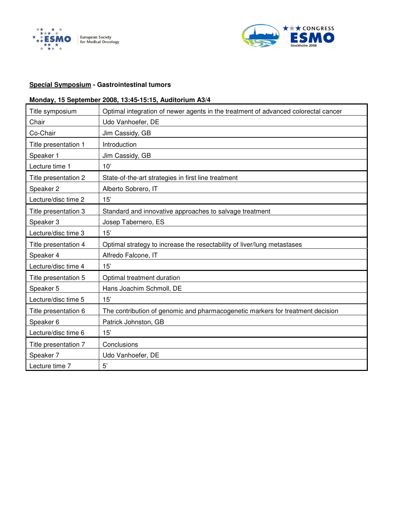



### **Special Symposium - Gastrointestinal tumors**

### **Monday, 15 September 2008, 13:45-15:15, Auditorium A3/4**

| Title symposium      | Optimal integration of newer agents in the treatment of advanced colorectal cancer |
|----------------------|------------------------------------------------------------------------------------|
| Chair                | Udo Vanhoefer, DE                                                                  |
| Co-Chair             | Jim Cassidy, GB                                                                    |
| Title presentation 1 | Introduction                                                                       |
| Speaker 1            | Jim Cassidy, GB                                                                    |
| Lecture time 1       | 10'                                                                                |
| Title presentation 2 | State-of-the-art strategies in first line treatment                                |
| Speaker 2            | Alberto Sobrero, IT                                                                |
| Lecture/disc time 2  | 15'                                                                                |
| Title presentation 3 | Standard and innovative approaches to salvage treatment                            |
| Speaker 3            | Josep Tabernero, ES                                                                |
| Lecture/disc time 3  | 15'                                                                                |
| Title presentation 4 | Optimal strategy to increase the resectability of liver/lung metastases            |
| Speaker 4            | Alfredo Falcone, IT                                                                |
| Lecture/disc time 4  | 15'                                                                                |
| Title presentation 5 | Optimal treatment duration                                                         |
| Speaker 5            | Hans Joachim Schmoll, DE                                                           |
| Lecture/disc time 5  | 15'                                                                                |
| Title presentation 6 | The contribution of genomic and pharmacogenetic markers for treatment decision     |
| Speaker 6            | Patrick Johnston, GB                                                               |
| Lecture/disc time 6  | 15'                                                                                |
| Title presentation 7 | Conclusions                                                                        |
| Speaker 7            | Udo Vanhoefer, DE                                                                  |
| Lecture time 7       | 5'                                                                                 |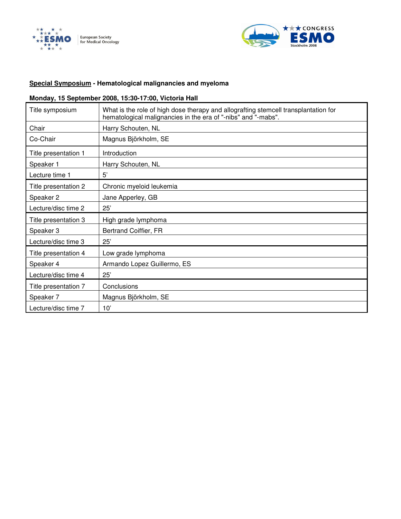



### **Special Symposium - Hematological malignancies and myeloma**

### **Monday, 15 September 2008, 15:30-17:00, Victoria Hall**

| Title symposium      | What is the role of high dose therapy and allografting stemcell transplantation for<br>hematological malignancies in the era of "-nibs" and "-mabs". |
|----------------------|------------------------------------------------------------------------------------------------------------------------------------------------------|
| Chair                | Harry Schouten, NL                                                                                                                                   |
| Co-Chair             | Magnus Björkholm, SE                                                                                                                                 |
| Title presentation 1 | Introduction                                                                                                                                         |
| Speaker 1            | Harry Schouten, NL                                                                                                                                   |
| Lecture time 1       | 5'                                                                                                                                                   |
| Title presentation 2 | Chronic myeloid leukemia                                                                                                                             |
| Speaker 2            | Jane Apperley, GB                                                                                                                                    |
| Lecture/disc time 2  | 25'                                                                                                                                                  |
| Title presentation 3 | High grade lymphoma                                                                                                                                  |
| Speaker 3            | Bertrand Coiffier, FR                                                                                                                                |
| Lecture/disc time 3  | 25'                                                                                                                                                  |
| Title presentation 4 | Low grade lymphoma                                                                                                                                   |
| Speaker 4            | Armando Lopez Guillermo, ES                                                                                                                          |
| Lecture/disc time 4  | 25'                                                                                                                                                  |
| Title presentation 7 | Conclusions                                                                                                                                          |
| Speaker 7            | Magnus Björkholm, SE                                                                                                                                 |
| Lecture/disc time 7  | 10'                                                                                                                                                  |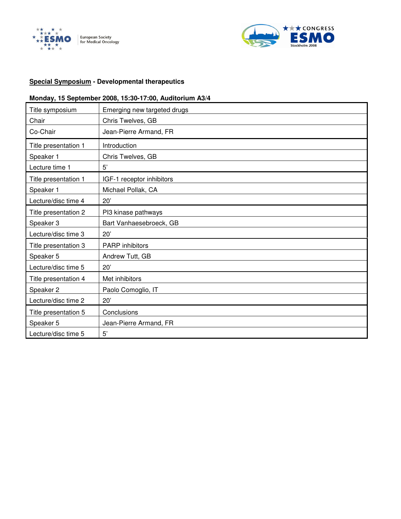



#### **Special Symposium - Developmental therapeutics**

### **Monday, 15 September 2008, 15:30-17:00, Auditorium A3/4**

| Title symposium      | Emerging new targeted drugs |
|----------------------|-----------------------------|
| Chair                | Chris Twelves, GB           |
| Co-Chair             | Jean-Pierre Armand, FR      |
| Title presentation 1 | Introduction                |
| Speaker 1            | Chris Twelves, GB           |
| Lecture time 1       | 5'                          |
| Title presentation 1 | IGF-1 receptor inhibitors   |
| Speaker 1            | Michael Pollak, CA          |
| Lecture/disc time 4  | 20'                         |
| Title presentation 2 | PI3 kinase pathways         |
| Speaker 3            | Bart Vanhaesebroeck, GB     |
| Lecture/disc time 3  | 20'                         |
| Title presentation 3 | <b>PARP</b> inhibitors      |
| Speaker 5            | Andrew Tutt, GB             |
| Lecture/disc time 5  | 20'                         |
| Title presentation 4 | Met inhibitors              |
| Speaker <sub>2</sub> | Paolo Comoglio, IT          |
| Lecture/disc time 2  | 20'                         |
| Title presentation 5 | Conclusions                 |
| Speaker 5            | Jean-Pierre Armand, FR      |
| Lecture/disc time 5  | 5'                          |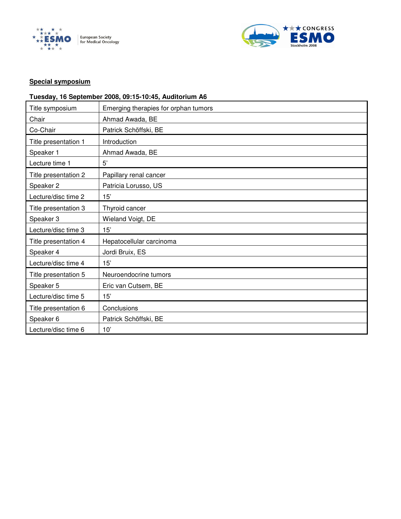



### **Special symposium**

### **Tuesday, 16 September 2008, 09:15-10:45, Auditorium A6**

| Title symposium      | Emerging therapies for orphan tumors |
|----------------------|--------------------------------------|
| Chair                | Ahmad Awada, BE                      |
| Co-Chair             | Patrick Schöffski, BE                |
| Title presentation 1 | Introduction                         |
| Speaker 1            | Ahmad Awada, BE                      |
| Lecture time 1       | 5'                                   |
| Title presentation 2 | Papillary renal cancer               |
| Speaker 2            | Patricia Lorusso, US                 |
| Lecture/disc time 2  | 15'                                  |
| Title presentation 3 | Thyroid cancer                       |
| Speaker 3            | Wieland Voigt, DE                    |
| Lecture/disc time 3  | 15'                                  |
| Title presentation 4 | Hepatocellular carcinoma             |
| Speaker 4            | Jordi Bruix, ES                      |
| Lecture/disc time 4  | 15'                                  |
| Title presentation 5 | Neuroendocrine tumors                |
| Speaker 5            | Eric van Cutsem, BE                  |
| Lecture/disc time 5  | 15'                                  |
| Title presentation 6 | Conclusions                          |
| Speaker 6            | Patrick Schöffski, BE                |
| Lecture/disc time 6  | 10'                                  |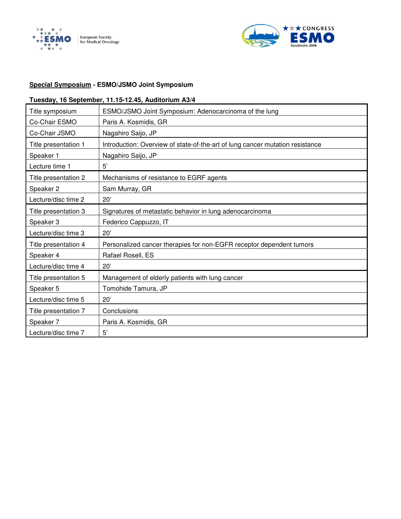



### **Special Symposium - ESMO/JSMO Joint Symposium**

### **Tuesday, 16 September, 11.15-12.45, Auditorium A3/4**

| Title symposium      | ESMO/JSMO Joint Symposium: Adenocarcinoma of the lung                         |
|----------------------|-------------------------------------------------------------------------------|
| Co-Chair ESMO        | Paris A. Kosmidis, GR                                                         |
| Co-Chair JSMO        | Nagahiro Saijo, JP                                                            |
| Title presentation 1 | Introduction: Overview of state-of-the-art of lung cancer mutation resistance |
| Speaker 1            | Nagahiro Saijo, JP                                                            |
| Lecture time 1       | 5'                                                                            |
| Title presentation 2 | Mechanisms of resistance to EGRF agents                                       |
| Speaker 2            | Sam Murray, GR                                                                |
| Lecture/disc time 2  | 20'                                                                           |
| Title presentation 3 | Signatures of metastatic behavior in lung adenocarcinoma                      |
| Speaker 3            | Federico Cappuzzo, IT                                                         |
| Lecture/disc time 3  | 20'                                                                           |
| Title presentation 4 | Personalized cancer therapies for non-EGFR receptor dependent tumors          |
| Speaker 4            | Rafael Rosell, ES                                                             |
| Lecture/disc time 4  | 20'                                                                           |
| Title presentation 5 | Management of elderly patients with lung cancer                               |
| Speaker 5            | Tomohide Tamura, JP                                                           |
| Lecture/disc time 5  | 20'                                                                           |
| Title presentation 7 | Conclusions                                                                   |
| Speaker 7            | Paris A. Kosmidis, GR                                                         |
| Lecture/disc time 7  | 5'                                                                            |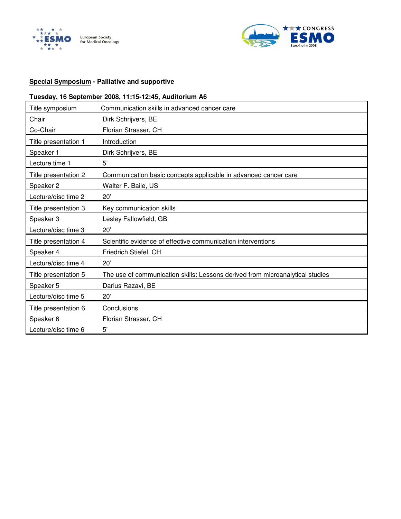



### **Special Symposium - Palliative and supportive**

### **Tuesday, 16 September 2008, 11:15-12:45, Auditorium A6**

| Title symposium      | Communication skills in advanced cancer care                                  |
|----------------------|-------------------------------------------------------------------------------|
| Chair                | Dirk Schrijvers, BE                                                           |
| Co-Chair             | Florian Strasser, CH                                                          |
| Title presentation 1 | Introduction                                                                  |
| Speaker 1            | Dirk Schrijvers, BE                                                           |
| Lecture time 1       | 5'                                                                            |
| Title presentation 2 | Communication basic concepts applicable in advanced cancer care               |
| Speaker 2            | Walter F. Baile, US                                                           |
| Lecture/disc time 2  | 20'                                                                           |
| Title presentation 3 | Key communication skills                                                      |
| Speaker 3            | Lesley Fallowfield, GB                                                        |
| Lecture/disc time 3  | 20'                                                                           |
| Title presentation 4 | Scientific evidence of effective communication interventions                  |
| Speaker 4            | Friedrich Stiefel, CH                                                         |
| Lecture/disc time 4  | 20'                                                                           |
| Title presentation 5 | The use of communication skills: Lessons derived from microanalytical studies |
| Speaker 5            | Darius Razavi, BE                                                             |
| Lecture/disc time 5  | 20'                                                                           |
| Title presentation 6 | Conclusions                                                                   |
| Speaker 6            | Florian Strasser, CH                                                          |
| Lecture/disc time 6  | 5'                                                                            |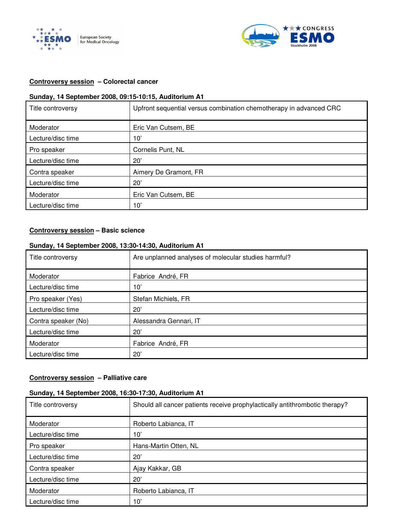



#### **Controversy session – Colorectal cancer**

#### **Sunday, 14 September 2008, 09:15-10:15, Auditorium A1**

| Title controversy | Upfront sequential versus combination chemotherapy in advanced CRC |
|-------------------|--------------------------------------------------------------------|
| Moderator         | Eric Van Cutsem, BE                                                |
| Lecture/disc time | 10'                                                                |
| Pro speaker       | Cornelis Punt, NL                                                  |
| Lecture/disc time | 20'                                                                |
| Contra speaker    | Aimery De Gramont, FR                                              |
| Lecture/disc time | 20'                                                                |
| Moderator         | Eric Van Cutsem, BE                                                |
| Lecture/disc time | 10'                                                                |

#### **Controversy session – Basic science**

### **Sunday, 14 September 2008, 13:30-14:30, Auditorium A1**

| Title controversy   | Are unplanned analyses of molecular studies harmful? |
|---------------------|------------------------------------------------------|
| Moderator           | Fabrice André, FR                                    |
| Lecture/disc time   | 10'                                                  |
| Pro speaker (Yes)   | Stefan Michiels, FR                                  |
| Lecture/disc time   | 20'                                                  |
| Contra speaker (No) | Alessandra Gennari, IT                               |
| Lecture/disc time   | 20'                                                  |
| Moderator           | Fabrice André, FR                                    |
| Lecture/disc time   | 20'                                                  |

#### **Controversy session – Palliative care**

#### **Sunday, 14 September 2008, 16:30-17:30, Auditorium A1**

| Title controversy | Should all cancer patients receive prophylactically antithrombotic therapy? |
|-------------------|-----------------------------------------------------------------------------|
| Moderator         | Roberto Labianca, IT                                                        |
| Lecture/disc time | 10'                                                                         |
| Pro speaker       | Hans-Martin Otten, NL                                                       |
| Lecture/disc time | $20^{\circ}$                                                                |
| Contra speaker    | Ajay Kakkar, GB                                                             |
| Lecture/disc time | $20^{\circ}$                                                                |
| Moderator         | Roberto Labianca, IT                                                        |
| Lecture/disc time | $10^{\circ}$                                                                |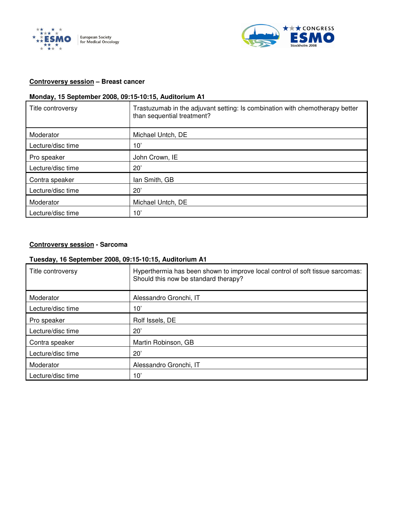



#### **Controversy session – Breast cancer**

### **Monday, 15 September 2008, 09:15-10:15, Auditorium A1**

| Title controversy | Trastuzumab in the adjuvant setting: Is combination with chemotherapy better<br>than sequential treatment? |
|-------------------|------------------------------------------------------------------------------------------------------------|
| Moderator         | Michael Untch, DE                                                                                          |
| Lecture/disc time | 10'                                                                                                        |
| Pro speaker       | John Crown, IE                                                                                             |
| Lecture/disc time | 20'                                                                                                        |
| Contra speaker    | lan Smith, GB                                                                                              |
| Lecture/disc time | 20'                                                                                                        |
| Moderator         | Michael Untch, DE                                                                                          |
| Lecture/disc time | 10'                                                                                                        |

#### **Controversy session - Sarcoma**

#### **Tuesday, 16 September 2008, 09:15-10:15, Auditorium A1**

| Title controversy | Hyperthermia has been shown to improve local control of soft tissue sarcomas:<br>Should this now be standard therapy? |
|-------------------|-----------------------------------------------------------------------------------------------------------------------|
| Moderator         | Alessandro Gronchi, IT                                                                                                |
| Lecture/disc time | 10'                                                                                                                   |
| Pro speaker       | Rolf Issels, DE                                                                                                       |
| Lecture/disc time | 20'                                                                                                                   |
| Contra speaker    | Martin Robinson, GB                                                                                                   |
| Lecture/disc time | 20'                                                                                                                   |
| Moderator         | Alessandro Gronchi, IT                                                                                                |
| Lecture/disc time | 10'                                                                                                                   |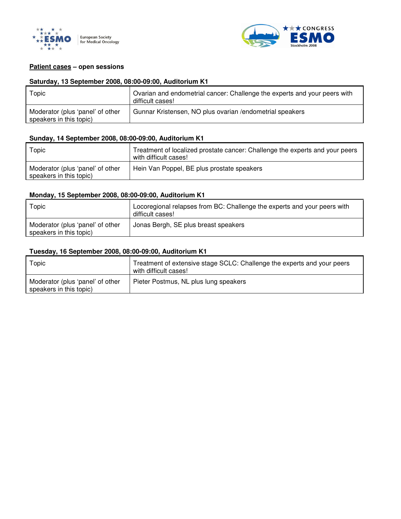



#### **Patient cases – open sessions**

#### **Saturday, 13 September 2008, 08:00-09:00, Auditorium K1**

| Topic                                                       | Ovarian and endometrial cancer: Challenge the experts and your peers with<br>difficult cases! |
|-------------------------------------------------------------|-----------------------------------------------------------------------------------------------|
| Moderator (plus 'panel' of other<br>speakers in this topic) | Gunnar Kristensen, NO plus ovarian / endometrial speakers                                     |

#### **Sunday, 14 September 2008, 08:00-09:00, Auditorium K1**

| Topic                                                       | Treatment of localized prostate cancer: Challenge the experts and your peers<br>with difficult cases! |
|-------------------------------------------------------------|-------------------------------------------------------------------------------------------------------|
| Moderator (plus 'panel' of other<br>speakers in this topic) | Hein Van Poppel, BE plus prostate speakers                                                            |

#### **Monday, 15 September 2008, 08:00-09:00, Auditorium K1**

| Topic                                                       | Locoregional relapses from BC: Challenge the experts and your peers with<br>difficult cases! |
|-------------------------------------------------------------|----------------------------------------------------------------------------------------------|
| Moderator (plus 'panel' of other<br>speakers in this topic) | Jonas Bergh, SE plus breast speakers                                                         |

#### **Tuesday, 16 September 2008, 08:00-09:00, Auditorium K1**

| Topic                                                       | Treatment of extensive stage SCLC: Challenge the experts and your peers<br>with difficult cases! |
|-------------------------------------------------------------|--------------------------------------------------------------------------------------------------|
| Moderator (plus 'panel' of other<br>speakers in this topic) | Pieter Postmus, NL plus lung speakers                                                            |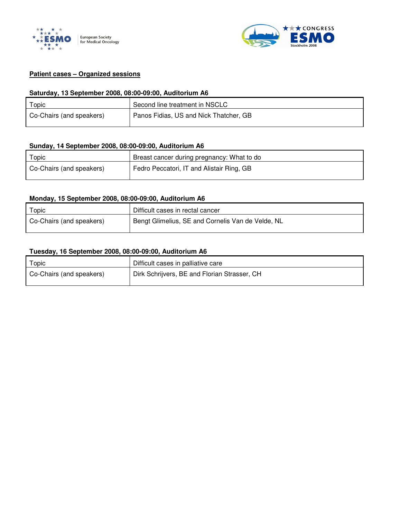



#### **Patient cases – Organized sessions**

#### **Saturday, 13 September 2008, 08:00-09:00, Auditorium A6**

| $\tau$ opic              | Second line treatment in NSCLC         |
|--------------------------|----------------------------------------|
| Co-Chairs (and speakers) | Panos Fidias, US and Nick Thatcher, GB |

#### **Sunday, 14 September 2008, 08:00-09:00, Auditorium A6**

| Topic                    | Breast cancer during pregnancy: What to do |
|--------------------------|--------------------------------------------|
| Co-Chairs (and speakers) | Fedro Peccatori, IT and Alistair Ring, GB  |

#### **Monday, 15 September 2008, 08:00-09:00, Auditorium A6**

| Topic                    | Difficult cases in rectal cancer                  |
|--------------------------|---------------------------------------------------|
| Co-Chairs (and speakers) | Bengt Glimelius, SE and Cornelis Van de Velde, NL |

#### **Tuesday, 16 September 2008, 08:00-09:00, Auditorium A6**

| Topic                    | Difficult cases in palliative care           |
|--------------------------|----------------------------------------------|
| Co-Chairs (and speakers) | Dirk Schrijvers, BE and Florian Strasser, CH |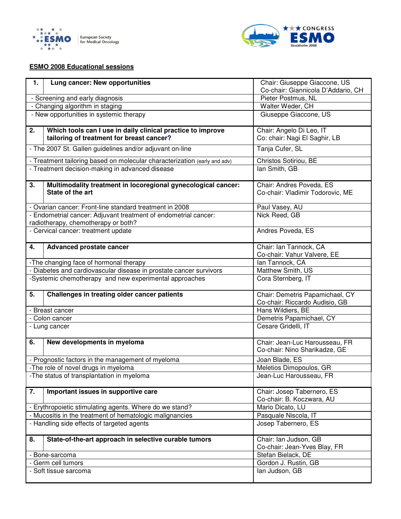



#### **ESMO 2008 Educational sessions**

| 1.                                                                   | Lung cancer: New opportunities                                                                           | Chair: Giuseppe Giaccone, US<br>Co-chair: Giannicola D'Addario, CH |  |
|----------------------------------------------------------------------|----------------------------------------------------------------------------------------------------------|--------------------------------------------------------------------|--|
| - Screening and early diagnosis                                      |                                                                                                          | Pieter Postmus, NL                                                 |  |
| - Changing algorithm in staging                                      |                                                                                                          | Walter Weder, CH                                                   |  |
| - New opportunities in systemic therapy                              |                                                                                                          | Giuseppe Giaccone, US                                              |  |
| 2.                                                                   | Which tools can I use in daily clinical practice to improve<br>tailoring of treatment for breast cancer? | Chair: Angelo Di Leo, IT<br>Co: chair: Nagi El Saghir, LB          |  |
|                                                                      | - The 2007 St. Gallen guidelines and/or adjuvant on-line                                                 | Tanja Cufer, SL                                                    |  |
|                                                                      | - Treatment tailoring based on molecular characterization (early and adv)                                | Christos Sotiriou, BE                                              |  |
|                                                                      | - Treatment decision-making in advanced disease                                                          | lan Smith, GB                                                      |  |
| 3.                                                                   | Multimodality treatment in locoregional gynecological cancer:<br>State of the art                        | Chair: Andres Poveda, ES<br>Co-chair: Vladimir Todorovic, ME       |  |
|                                                                      | - Ovarian cancer: Front-line standard treatment in 2008                                                  | Paul Vasey, AU                                                     |  |
|                                                                      | - Endometrial cancer: Adjuvant treatment of endometrial cancer:<br>radiotherapy, chemotherapy or both?   | Nick Reed, GB                                                      |  |
|                                                                      | - Cervical cancer: treatment update                                                                      | Andres Poveda, ES                                                  |  |
| 4.                                                                   | <b>Advanced prostate cancer</b>                                                                          | Chair: Ian Tannock, CA<br>Co-chair: Vahur Valvere, EE              |  |
|                                                                      | -The changing face of hormonal therapy                                                                   | lan Tannock, CA                                                    |  |
|                                                                      | Diabetes and cardiovascular disease in prostate cancer survivors                                         | Matthew Smith, US                                                  |  |
|                                                                      | -Systemic chemotherapy and new experimental approaches                                                   | Cora Sternberg, IT                                                 |  |
| 5.                                                                   | Challenges in treating older cancer patients                                                             | Chair: Demetris Papamichael, CY<br>Co-chair: Riccardo Audisio, GB  |  |
|                                                                      | - Breast cancer                                                                                          | Hans Wildiers, BE                                                  |  |
|                                                                      | - Colon cancer                                                                                           | Demetris Papamichael, CY                                           |  |
| Cesare Gridelli, IT<br>- Lung cancer                                 |                                                                                                          |                                                                    |  |
| 6.                                                                   | New developments in myeloma                                                                              | Chair: Jean-Luc Harousseau, FR<br>Co-chair: Nino Sharikadze, GE    |  |
|                                                                      | - Prognostic factors in the management of myeloma                                                        | Joan Blade, ES                                                     |  |
|                                                                      | -The role of novel drugs in myeloma                                                                      | Meletios Dimopoulos, GR                                            |  |
| -The status of transplantation in myeloma<br>Jean-Luc Harousseau, FR |                                                                                                          |                                                                    |  |
| 7.                                                                   | Important issues in supportive care                                                                      | Chair: Josep Tabernero, ES<br>Co-chair: B. Koczwara, AU            |  |
|                                                                      | - Erythropoietic stimulating agents. Where do we stand?                                                  | Mario Dicato, LU                                                   |  |
| - Mucositis in the treatment of hematologic malignancies             |                                                                                                          | Pasquale Niscola, IT                                               |  |
| - Handling side effects of targeted agents                           |                                                                                                          | Josep Tabernero, ES                                                |  |
| 8.                                                                   | State-of-the-art approach in selective curable tumors                                                    | Chair: Ian Judson, GB<br>Co-chair: Jean-Yves Blay, FR              |  |
|                                                                      | - Bone-sarcoma                                                                                           | Stefan Bielack, DE                                                 |  |
|                                                                      | - Germ cell tumors                                                                                       | Gordon J. Rustin, GB                                               |  |
|                                                                      | - Soft tissue sarcoma<br>lan Judson, GB                                                                  |                                                                    |  |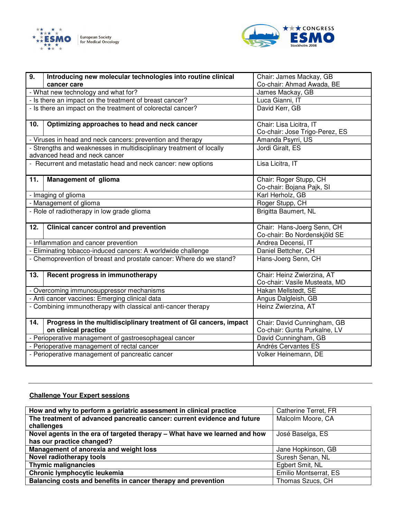



| 9.                                                                  | Introducing new molecular technologies into routine clinical                                          | Chair: James Mackay, GB                                     |
|---------------------------------------------------------------------|-------------------------------------------------------------------------------------------------------|-------------------------------------------------------------|
|                                                                     | cancer care                                                                                           | Co-chair: Ahmad Awada, BE                                   |
| - What new technology and what for?                                 |                                                                                                       | James Mackay, GB                                            |
|                                                                     | - Is there an impact on the treatment of breast cancer?                                               | Luca Gianni, IT                                             |
|                                                                     | - Is there an impact on the treatment of colorectal cancer?                                           | David Kerr, GB                                              |
| 10.                                                                 | Optimizing approaches to head and neck cancer                                                         | Chair: Lisa Licitra, IT<br>Co-chair: Jose Trigo-Perez, ES   |
|                                                                     | - Viruses in head and neck cancers: prevention and therapy                                            | Amanda Psyrri, US                                           |
|                                                                     | - Strengths and weaknesses in multidisciplinary treatment of locally<br>advanced head and neck cancer | Jordi Giralt, ES                                            |
|                                                                     | - Recurrent and metastatic head and neck cancer: new options                                          | Lisa Licitra, IT                                            |
| 11.                                                                 | Management of glioma                                                                                  | Chair: Roger Stupp, CH<br>Co-chair: Bojana Pajk, SI         |
|                                                                     | - Imaging of glioma                                                                                   | Karl Herholz, GB                                            |
|                                                                     | - Management of glioma                                                                                | Roger Stupp, CH                                             |
| - Role of radiotherapy in low grade glioma                          |                                                                                                       | Brigitta Baumert, NL                                        |
| 12.                                                                 | <b>Clinical cancer control and prevention</b>                                                         | Chair: Hans-Joerg Senn, CH<br>Co-chair: Bo Nordenskjöld SE  |
|                                                                     | - Inflammation and cancer prevention                                                                  | Andrea Decensi, IT                                          |
|                                                                     | - Eliminating tobacco-induced cancers: A worldwide challenge                                          | Daniel Bettcher, CH                                         |
| - Chemoprevention of breast and prostate cancer: Where do we stand? |                                                                                                       | Hans-Joerg Senn, CH                                         |
| 13.                                                                 | Recent progress in immunotherapy                                                                      | Chair: Heinz Zwierzina, AT<br>Co-chair: Vasile Musteata, MD |
| - Overcoming immunosuppressor mechanisms                            |                                                                                                       | Hakan Mellstedt, SE                                         |
| - Anti cancer vaccines: Emerging clinical data                      |                                                                                                       | Angus Dalgleish, GB                                         |
| - Combining immunotherapy with classical anti-cancer therapy        |                                                                                                       | Heinz Zwierzina, AT                                         |
| 14.                                                                 | Progress in the multidisciplinary treatment of GI cancers, impact<br>on clinical practice             | Chair: David Cunningham, GB<br>Co-chair: Gunta Purkalne, LV |
|                                                                     | - Perioperative management of gastroesophageal cancer                                                 | David Cunningham, GB                                        |
| - Perioperative management of rectal cancer                         |                                                                                                       | Andrés Cervantes ES                                         |
| - Perioperative management of pancreatic cancer                     |                                                                                                       | Volker Heinemann, DE                                        |

#### **Challenge Your Expert sessions**

| How and why to perform a geriatric assessment in clinical practice         | Catherine Terret, FR  |
|----------------------------------------------------------------------------|-----------------------|
| The treatment of advanced pancreatic cancer: current evidence and future   | Malcolm Moore, CA     |
| challenges                                                                 |                       |
| Novel agents in the era of targeted therapy - What have we learned and how | José Baselga, ES      |
| has our practice changed?                                                  |                       |
| Management of anorexia and weight loss                                     | Jane Hopkinson, GB    |
| <b>Novel radiotherapy tools</b>                                            | Suresh Senan, NL      |
| <b>Thymic malignancies</b>                                                 | Egbert Smit, NL       |
| Chronic lymphocytic leukemia                                               | Emilio Montserrat, ES |
| Balancing costs and benefits in cancer therapy and prevention              | Thomas Szucs, CH      |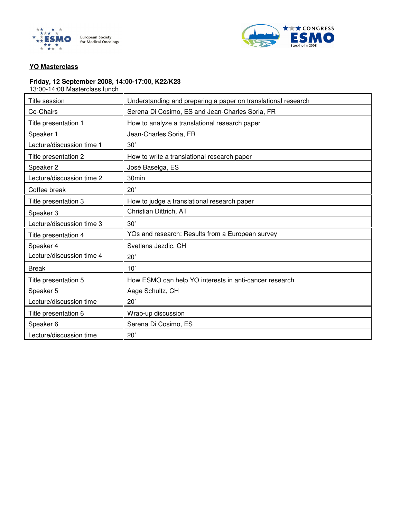



#### **YO Masterclass**

#### **Friday, 12 September 2008, 14:00-17:00, K22/K23**

13:00-14:00 Masterclass lunch

| Title session             | Understanding and preparing a paper on translational research |
|---------------------------|---------------------------------------------------------------|
| Co-Chairs                 | Serena Di Cosimo, ES and Jean-Charles Soria, FR               |
| Title presentation 1      | How to analyze a translational research paper                 |
| Speaker 1                 | Jean-Charles Soria, FR                                        |
| Lecture/discussion time 1 | 30'                                                           |
| Title presentation 2      | How to write a translational research paper                   |
| Speaker 2                 | José Baselga, ES                                              |
| Lecture/discussion time 2 | 30 <sub>min</sub>                                             |
| Coffee break              | 20'                                                           |
| Title presentation 3      | How to judge a translational research paper                   |
| Speaker 3                 | Christian Dittrich, AT                                        |
| Lecture/discussion time 3 | 30'                                                           |
| Title presentation 4      | YOs and research: Results from a European survey              |
| Speaker 4                 | Svetlana Jezdic, CH                                           |
| Lecture/discussion time 4 | 20'                                                           |
| <b>Break</b>              | 10'                                                           |
| Title presentation 5      | How ESMO can help YO interests in anti-cancer research        |
| Speaker 5                 | Aage Schultz, CH                                              |
| Lecture/discussion time   | 20'                                                           |
| Title presentation 6      | Wrap-up discussion                                            |
| Speaker 6                 | Serena Di Cosimo, ES                                          |
| Lecture/discussion time   | 20'                                                           |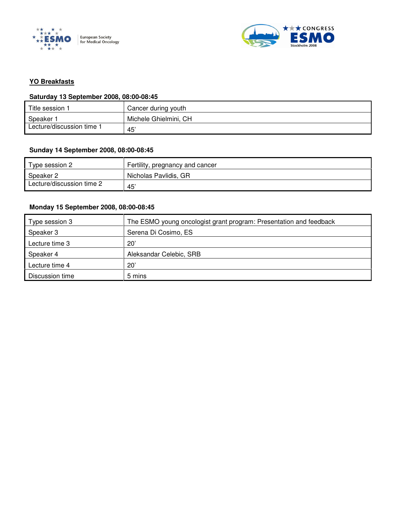



#### **YO Breakfasts**

### **Saturday 13 September 2008, 08:00-08:45**

| Title session             | Cancer during youth   |
|---------------------------|-----------------------|
| Speaker                   | Michele Ghielmini, CH |
| Lecture/discussion time 1 | 45                    |

#### **Sunday 14 September 2008, 08:00-08:45**

| Type session 2            | Fertility, pregnancy and cancer |
|---------------------------|---------------------------------|
| Speaker 2                 | Nicholas Pavlidis, GR           |
| Lecture/discussion time 2 | 45'                             |

#### **Monday 15 September 2008, 08:00-08:45**

| Type session 3  | The ESMO young oncologist grant program: Presentation and feedback |
|-----------------|--------------------------------------------------------------------|
| Speaker 3       | Serena Di Cosimo, ES                                               |
| Lecture time 3  | $20^{\circ}$                                                       |
| Speaker 4       | Aleksandar Celebic, SRB                                            |
| Lecture time 4  | $20^{\circ}$                                                       |
| Discussion time | 5 mins                                                             |